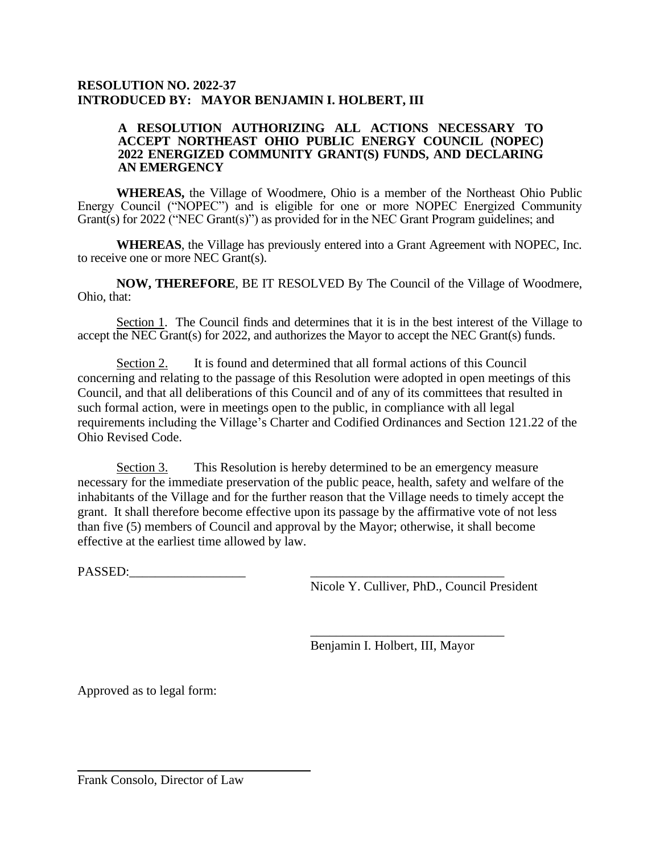## **RESOLUTION NO. 2022-37 INTRODUCED BY: MAYOR BENJAMIN I. HOLBERT, III**

## **A RESOLUTION AUTHORIZING ALL ACTIONS NECESSARY TO ACCEPT NORTHEAST OHIO PUBLIC ENERGY COUNCIL (NOPEC) 2022 ENERGIZED COMMUNITY GRANT(S) FUNDS, AND DECLARING AN EMERGENCY**

**WHEREAS,** the Village of Woodmere, Ohio is a member of the Northeast Ohio Public Energy Council ("NOPEC") and is eligible for one or more NOPEC Energized Community Grant(s) for 2022 ("NEC Grant(s)") as provided for in the NEC Grant Program guidelines; and

**WHEREAS**, the Village has previously entered into a Grant Agreement with NOPEC, Inc. to receive one or more NEC Grant(s).

**NOW, THEREFORE**, BE IT RESOLVED By The Council of the Village of Woodmere, Ohio, that:

Section 1. The Council finds and determines that it is in the best interest of the Village to accept the NEC Grant(s) for 2022, and authorizes the Mayor to accept the NEC Grant(s) funds.

Section 2. It is found and determined that all formal actions of this Council concerning and relating to the passage of this Resolution were adopted in open meetings of this Council, and that all deliberations of this Council and of any of its committees that resulted in such formal action, were in meetings open to the public, in compliance with all legal requirements including the Village's Charter and Codified Ordinances and Section 121.22 of the Ohio Revised Code.

Section 3. This Resolution is hereby determined to be an emergency measure necessary for the immediate preservation of the public peace, health, safety and welfare of the inhabitants of the Village and for the further reason that the Village needs to timely accept the grant. It shall therefore become effective upon its passage by the affirmative vote of not less than five (5) members of Council and approval by the Mayor; otherwise, it shall become effective at the earliest time allowed by law.

PASSED:

Nicole Y. Culliver, PhD., Council President

Benjamin I. Holbert, III, Mayor

\_\_\_\_\_\_\_\_\_\_\_\_\_\_\_\_\_\_\_\_\_\_\_\_\_\_\_\_\_\_

Approved as to legal form:

Frank Consolo, Director of Law